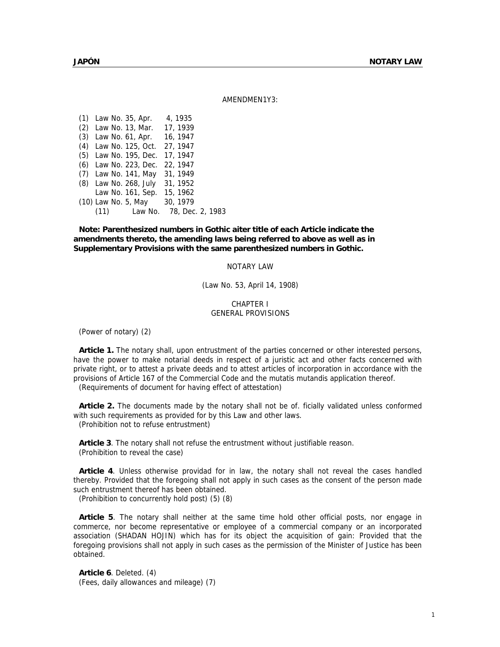AMENDMEN1Y3:

(1) Law No. 35, Apr. 4, 1935 (2) Law No. 13, Mar. 17, 1939 (3) Law No. 61, Apr. 16, 1947 (4) Law No. 125, Oct. 27, 1947 (5) Law No. 195, Dec. 17, 1947 (6) Law No. 223, Dec. 22, 1947 (7) Law No. 141, May 31, 1949 (8) Law No. 268, July 31, 1952 Law No. 161, Sep. 15, 1962 (10) Law No. 5, May 30, 1979 (11) Law No. 78, Dec. 2, 1983

**Note: Parenthesized numbers in Gothic aiter title of each Article indicate the amendments thereto, the amending laws being referred to above as well as in Supplementary Provisions with the same parenthesized numbers in Gothic.** 

### NOTARY LAW

(Law No. 53, April 14, 1908)

### CHAPTER I GENERAL PROVISIONS

(Power of notary) (2)

**Article 1.** The notary shall, upon entrustment of the parties concerned or other interested persons, have the power to make notarial deeds in respect of a juristic act and other facts concerned with private right, or to attest a private deeds and to attest articles of incorporation in accordance with the provisions of Article 167 of the Commercial Code and the mutatis mutandis application thereof.

(Requirements of document for having effect of attestation)

**Article 2.** The documents made by the notary shall not be of. ficially validated unless conformed with such requirements as provided for by this Law and other laws. (Prohibition not to refuse entrustment)

**Article 3**. The notary shall not refuse the entrustment without justifiable reason. (Prohibition to reveal the case)

**Article 4**. Unless otherwise providad for in law, the notary shall not reveal the cases handled thereby. Provided that the foregoing shall not apply in such cases as the consent of the person made such entrustment thereof has been obtained.

(Prohibition to concurrently hold post) (5) (8)

**Article 5**. The notary shall neither at the same time hold other official posts, nor engage in commerce, nor become representative or employee of a commercial company or an incorporated association (SHADAN HOJIN) which has for its object the acquisition of gain: Provided that the foregoing provisions shall not apply in such cases as the permission of the Minister of Justice has been obtained.

**Article 6**. Deleted. (4) (Fees, daily allowances and mileage) (7)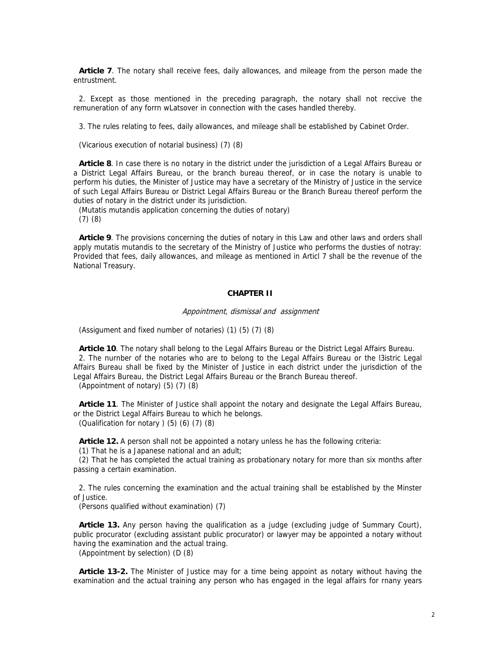**Article 7**. The notary shall receive fees, daily allowances, and mileage from the person made the entrustment.

2. Except as those mentioned in the preceding paragraph, the notary shall not reccive the remuneration of any forrn wLatsover in connection with the cases handled thereby.

3. The rules relating to fees, daily allowances, and mileage shall be established by Cabinet Order.

(Vicarious execution of notarial business) (7) (8)

**Article 8**. In case there is no notary in the district under the jurisdiction of a Legal Affairs Bureau or a District Legal Affairs Bureau, or the branch bureau thereof, or in case the notary is unable to perform his duties, the Minister of Justice may have a secretary of the Ministry of Justice in the service of such Legal Affairs Bureau or District Legal Affairs Bureau or the Branch Bureau thereof perform the duties of notary in the district under its jurisdiction.

(Mutatis mutandis application concerning the duties of notary)

(7) (8)

**Article 9**. The provisions concerning the duties of notary in this Law and other laws and orders shall apply mutatis mutandis to the secretary of the Ministry of Justice who performs the dusties of notray: Provided that fees, daily allowances, and mileage as mentioned in Articl 7 shall be the revenue of the National Treasury.

# **CHAPTER II**

#### Appointment, dismissal and assignment

(Assigument and fixed number of notaries) (1) (5) (7) (8)

**Article 10**. The notary shall belong to the Legal Affairs Bureau or the District Legal Affairs Bureau. 2. The nurnber of the notaries who are to belong to the Legal Affairs Bureau or the l3istric Legal Affairs Bureau shall be fixed by the Minister of Justice in each district under the jurisdiction of the Legal Affairs Bureau, the District Legal Affairs Bureau or the Branch Bureau thereof.

(Appointment of notary) (5) (7) (8)

**Article 11**. The Minister of Justice shall appoint the notary and designate the Legal Affairs Bureau, or the District Legal Affairs Bureau to which he belongs. (Qualification for notary  $(5)$   $(6)$   $(7)$   $(8)$ 

**Article 12.** A person shall not be appointed a notary unless he has the following criteria:

(1) That he is a Japanese national and an adult;

(2) That he has completed the actual training as probationary notary for more than six months after passing a certain examination.

2. The rules concerning the examination and the actual training shall be established by the Minster of Justice.

(Persons qualified without examination) (7)

**Article 13.** Any person having the qualification as a judge (excluding judge of Summary Court), public procurator (excluding assistant public procurator) or lawyer may be appointed a notary without having the examination and the actual traing.

(Appointment by selection) (D (8)

**Article 13-2.** The Minister of Justice may for a time being appoint as notary without having the examination and the actual training any person who has engaged in the legal affairs for rnany years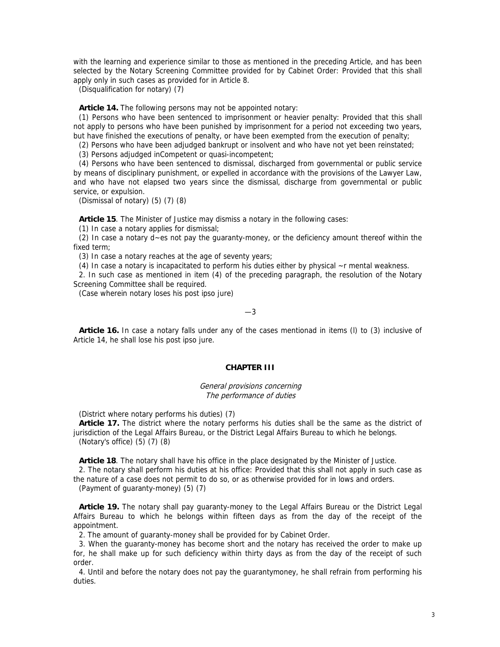with the learning and experience similar to those as mentioned in the preceding Article, and has been selected by the Notary Screening Committee provided for by Cabinet Order: Provided that this shall apply only in such cases as provided for in Article 8.

(Disqualification for notary) (7)

**Article 14.** The following persons may not be appointed notary:

(1) Persons who have been sentenced to imprisonment or heavier penalty: Provided that this shall not apply to persons who have been punished by imprisonment for a period not exceeding two years, but have finished the executions of penalty, or have been exempted from the execution of penalty;

(2) Persons who have been adjudged bankrupt or insolvent and who have not yet been reinstated;

(3) Persons adjudged inCompetent or quasi-incompetent;

(4) Persons who have been sentenced to dismissal, discharged from governmental or public service by means of disciplinary punishment, or expelled in accordance with the provisions of the Lawyer Law, and who have not elapsed two years since the dismissal, discharge from governmental or public service, or expulsion.

(Dismissal of notary) (5) (7) (8)

**Article 15**. The Minister of Justice may dismiss a notary in the following cases:

(1) In case a notary applies for dismissal;

(2) In case a notary d~es not pay the guaranty-money, or the deficiency amount thereof within the fixed term;

(3) In case a notary reaches at the age of seventy years;

(4) In case a notary is incapacitated to perform his duties either by physical ~r mental weakness.

2. In such case as mentioned in item (4) of the preceding paragraph, the resolution of the Notary Screening Committee shall be required.

(Case wherein notary loses his post ipso jure)

—3

**Article 16.** In case a notary falls under any of the cases mentionad in items (l) to (3) inclusive of Article 14, he shall lose his post ipso jure.

## **CHAPTER III**

General provisions concerning The performance of duties

(District where notary performs his duties) (7)

**Article 17.** The district where the notary performs his duties shall be the same as the district of jurisdiction of the Legal Affairs Bureau, or the District Legal Affairs Bureau to which he belongs. (Notary's office) (5) (7) (8)

**Article 18**. The notary shall have his office in the place designated by the Minister of Justice. 2. The notary shall perform his duties at his office: Provided that this shall not apply in such case as the nature of a case does not permit to do so, or as otherwise provided for in lows and orders.

(Payment of guaranty-money) (5) (7)

**Article 19.** The notary shall pay guaranty-money to the Legal Affairs Bureau or the District Legal Affairs Bureau to which he belongs within fifteen days as from the day of the receipt of the appointment.

2. The amount of guaranty-money shall be provided for by Cabinet Order.

3. When the guaranty-money has become short and the notary has received the order to make up for, he shall make up for such deficiency within thirty days as from the day of the receipt of such order.

4. Until and before the notary does not pay the guarantymoney, he shall refrain from performing his duties.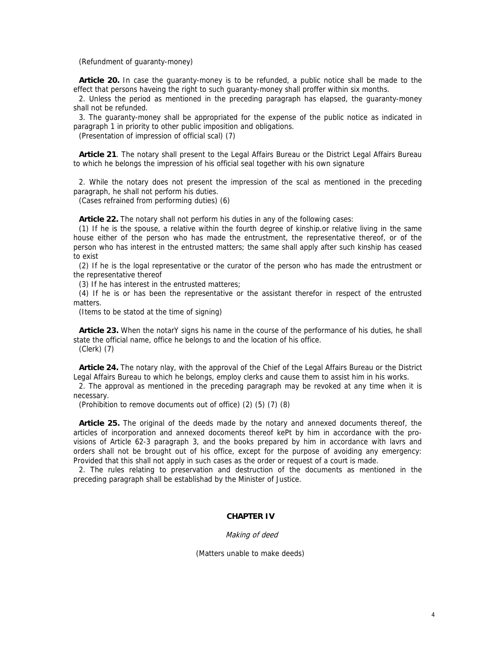(Refundment of guaranty-money)

**Article 20.** In case the guaranty-money is to be refunded, a public notice shall be made to the effect that persons haveing the right to such guaranty-money shall proffer within six months.

2. Unless the period as mentioned in the preceding paragraph has elapsed, the guaranty-money shall not be refunded.

3. The guaranty-money shall be appropriated for the expense of the public notice as indicated in paragraph 1 in priority to other public imposition and obligations.

(Presentation of impression of official scal) (7)

**Article 21**. The notary shall present to the Legal Affairs Bureau or the District Legal Affairs Bureau to which he belongs the impression of his official seal together with his own signature

2. While the notary does not present the impression of the scal as mentioned in the preceding paragraph, he shall not perform his duties.

(Cases refrained from performing duties) (6)

**Article 22.** The notary shall not perform his duties in any of the following cases:

(1) If he is the spouse, a relative within the fourth degree of kinship.or relative living in the same house either of the person who has made the entrustment, the representative thereof, or of the person who has interest in the entrusted matters; the same shall apply after such kinship has ceased to exist

(2) If he is the logal representative or the curator of the person who has made the entrustment or the representative thereof

(3) If he has interest in the entrusted matteres;

(4) If he is or has been the representative or the assistant therefor in respect of the entrusted matters.

(Items to be statod at the time of signing)

**Article 23.** When the notarY signs his name in the course of the performance of his duties, he shall state the official name, office he belongs to and the location of his office. (Clerk) (7)

**Article 24.** The notary nlay, with the approval of the Chief of the Legal Affairs Bureau or the District Legal Affairs Bureau to which he belongs, employ clerks and cause them to assist him in his works.

2. The approval as mentioned in the preceding paragraph may be revoked at any time when it is necessary.

(Prohibition to remove documents out of office) (2) (5) (7) (8)

**Article 25.** The original of the deeds made by the notary and annexed documents thereof, the articles of incorporation and annexed docoments thereof kePt by him in accordance with the provisions of Article 62-3 paragraph 3, and the books prepared by him in accordance with lavrs and orders shall not be brought out of his office, except for the purpose of avoiding any emergency: Provided that this shall not apply in such cases as the order or request of a court is made.

2. The rules relating to preservation and destruction of the documents as mentioned in the preceding paragraph shall be establishad by the Minister of Justice.

### **CHAPTER IV**

### Making of deed

(Matters unable to make deeds)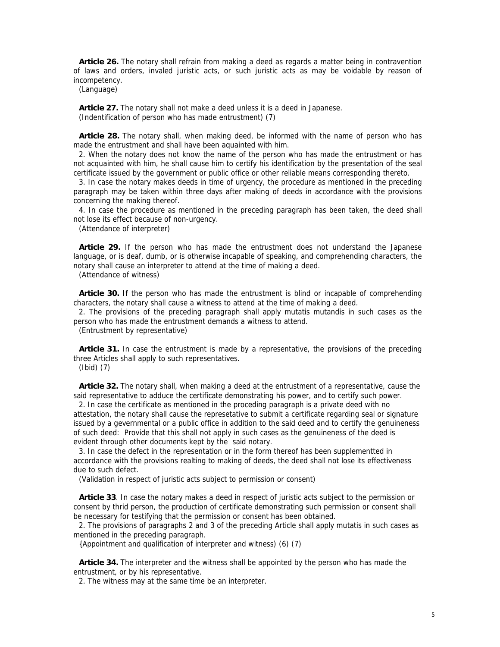**Article 26.** The notary shall refrain from making a deed as regards a matter being in contravention of laws and orders, invaled juristic acts, or such juristic acts as may be voidable by reason of incompetency.

(Language)

**Article 27.** The notary shall not make a deed unless it is a deed in Japanese. (Indentification of person who has made entrustment) (7)

**Article 28.** The notary shall, when making deed, be informed with the name of person who has made the entrustment and shall have been aquainted with him.

2. When the notary does not know the name of the person who has made the entrustment or has not acquainted with him, he shall cause him to certify his identification by the presentation of the seal certificate issued by the government or public office or other reliable means corresponding thereto.

3. In case the notary makes deeds in time of urgency, the procedure as mentioned in the preceding paragraph may be taken within three days after making of deeds in accordance with the provisions concerning the making thereof.

4. In case the procedure as mentioned in the preceding paragraph has been taken, the deed shall not lose its effect because of non-urgency.

(Attendance of interpreter)

**Article 29.** If the person who has made the entrustment does not understand the Japanese language, or is deaf, dumb, or is otherwise incapable of speaking, and comprehending characters, the notary shall cause an interpreter to attend at the time of making a deed.

(Attendance of witness)

**Article 30.** If the person who has made the entrustment is blind or incapable of comprehending characters, the notary shall cause a witness to attend at the time of making a deed.

2. The provisions of the preceding paragraph shall apply mutatis mutandis in such cases as the person who has made the entrustment demands a witness to attend.

(Entrustment by representative)

**Article 31.** In case the entrustment is made by a representative, the provisions of the preceding three Articles shall apply to such representatives.

(Ibid) (7)

**Article 32.** The notary shall, when making a deed at the entrustment of a representative, cause the said representative to adduce the certificate demonstrating his power, and to certify such power.

2. In case the certificate as mentioned in the proceding paragraph is a private deed with no attestation, the notary shall cause the represetative to submit a certificate regarding seal or signature issued by a gevernmental or a public office in addition to the said deed and to certify the genuineness of such deed: Provide that this shall not apply in such cases as the genuineness of the deed is evident through other documents kept by the said notary.

3. In case the defect in the representation or in the form thereof has been supplementted in accordance with the provisions realting to making of deeds, the deed shall not lose its effectiveness due to such defect.

(Validation in respect of juristic acts subject to permission or consent)

**Article 33**. In case the notary makes a deed in respect of juristic acts subject to the permission or consent by thrid person, the production of certificate demonstrating such permission or consent shall be necessary for testifying that the permission or consent has been obtained.

2. The provisions of paragraphs 2 and 3 of the preceding Article shall apply mutatis in such cases as mentioned in the preceding paragraph.

{Appointment and qualification of interpreter and witness) (6) (7)

**Article 34.** The interpreter and the witness shall be appointed by the person who has made the entrustment, or by his representative.

2. The witness may at the same time be an interpreter.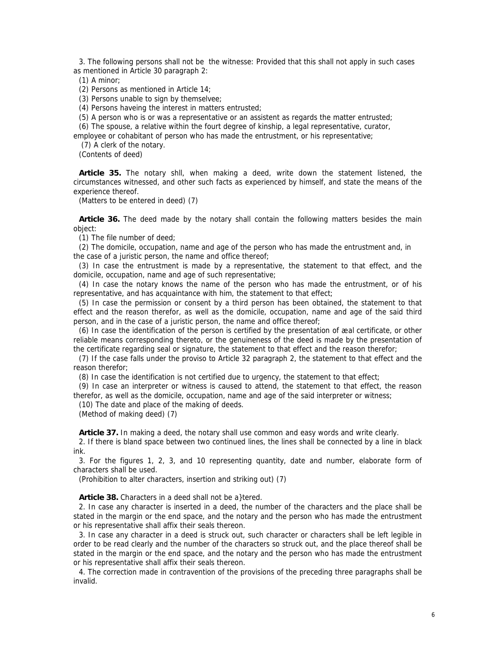3. The following persons shall not be the witnesse: Provided that this shall not apply in such cases as mentioned in Article 30 paragraph 2:

(1) A minor;

(2) Persons as mentioned in Article 14;

(3) Persons unable to sign by themselvee;

(4) Persons haveing the interest in matters entrusted;

(5) A person who is or was a representative or an assistent as regards the matter entrusted;

(6) The spouse, a relative within the fourt degree of kinship, a legal representative, curator,

employee or cohabitant of person who has made the entrustment, or his representative;

(7) A clerk of the notary.

(Contents of deed)

**Article 35.** The notary shll, when making a deed, write down the statement listened, the circumstances witnessed, and other such facts as experienced by himself, and state the means of the experience thereof.

(Matters to be entered in deed) (7)

Article 36. The deed made by the notary shall contain the following matters besides the main object:

(1) The file number of deed;

(2) The domicile, occupation, name and age of the person who has made the entrustment and, in the case of a juristic person, the name and office thereof;

(3) In case the entrustment is made by a representative, the statement to that effect, and the domicile, occupation, name and age of such representative;

(4) In case the notary knows the name of the person who has made the entrustment, or of his representative, and has acquaintance with him, the statement to that effect;

(5) In case the permission or consent by a third person has been obtained, the statement to that effect and the reason therefor, as well as the domicile, occupation, name and age of the said third person, and in the case of a juristic person, the name and office thereof;

(6) In case the identification of the person is certified by the presentation of æal certificate, or other reliable means corresponding thereto, or the genuineness of the deed is made by the presentation of the certificate regarding seal or signature, the statement to that effect and the reason therefor;

(7) If the case falls under the proviso to Article 32 paragraph 2, the statement to that effect and the reason therefor;

(8) In case the identification is not certified due to urgency, the statement to that effect;

(9) In case an interpreter or witness is caused to attend, the statement to that effect, the reason therefor, as well as the domicile, occupation, name and age of the said interpreter or witness;

(10) The date and place of the making of deeds.

(Method of making deed) (7)

**Article 37.** In making a deed, the notary shall use common and easy words and write clearly.

2. If there is bland space between two continued lines, the lines shall be connected by a line in black ink.

3. For the figures 1, 2, 3, and 10 representing quantity, date and number, elaborate form of characters shall be used.

(Prohibition to alter characters, insertion and striking out) (7)

**Article 38.** Characters in a deed shall not be a}tered.

2. In case any character is inserted in a deed, the number of the characters and the place shall be stated in the margin or the end space, and the notary and the person who has made the entrustment or his representative shall affix their seals thereon.

3. In case any character in a deed is struck out, such character or characters shall be left legible in order to be read clearly and the number of the characters so struck out, and the place thereof shall be stated in the margin or the end space, and the notary and the person who has made the entrustment or his representative shall affix their seals thereon.

4. The correction made in contravention of the provisions of the preceding three paragraphs shall be invalid.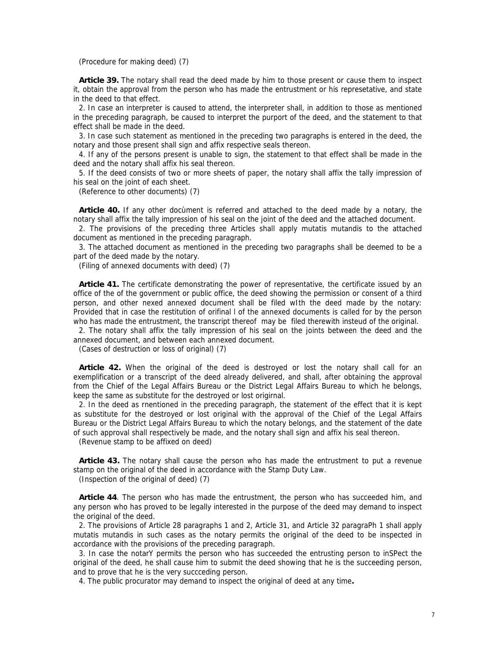(Procedure for making deed) (7)

**Article 39.** The notary shall read the deed made by him to those present or cause them to inspect it, obtain the approval from the person who has made the entrustment or his represetative, and state in the deed to that effect.

2. In case an interpreter is caused to attend, the interpreter shall, in addition to those as mentioned in the preceding paragraph, be caused to interpret the purport of the deed, and the statement to that effect shall be made in the deed.

3. In case such statement as mentioned in the preceding two paragraphs is entered in the deed, the notary and those present shall sign and affix respective seals thereon.

4. If any of the persons present is unable to sign, the statement to that effect shall be made in the deed and the notary shall affix his seal thereon.

5. If the deed consists of two or more sheets of paper, the notary shall affix the tally impression of his seal on the joint of each sheet.

(Reference to other documents) (7)

**Article 40.** If any other docùment is referred and attached to the deed made by a notary, the notary shall affix the tally impression of his seal on the joint of the deed and the attached document.

2. The provisions of the preceding three Articles shall apply mutatis mutandis to the attached document as mentioned in the preceding paragraph.

3. The attached document as mentioned in the preceding two paragraphs shall be deemed to be a part of the deed made by the notary.

(Filing of annexed documents with deed) (7)

**Article 41.** The certificate demonstrating the power of representative, the certificate issued by an office of the of the government or public office, the deed showing the permission or consent of a third person, and other nexed annexed document shall be filed wIth the deed made by the notary: Provided that in case the restitution of orifinal l of the annexed documents is called for by the person who has made the entrustment, the transcript thereof may be filed therewith insteud of the original.

2. The notary shall affix the tally impression of his seal on the joints between the deed and the annexed document, and between each annexed document.

(Cases of destruction or loss of original) (7)

**Article 42.** When the original of the deed is destroyed or lost the notary shall call for an exemplification or a transcript of the deed already delivered, and shall, after obtaining the approval from the Chief of the Legal Affairs Bureau or the District Legal Affairs Bureau to which he belongs, keep the same as substitute for the destroyed or lost origirnal.

2. In the deed as rnentioned in the preceding paragraph, the statement of the effect that it is kept as substitute for the destroyed or lost original with the approval of the Chief of the Legal Affairs Bureau or the District Legal Affairs Bureau to which the notary belongs, and the statement of the date of such approval shall respectively be made, and the notary shall sign and affix his seal thereon.

(Revenue stamp to be affixed on deed)

**Article 43.** The notary shall cause the person who has made the entrustment to put a revenue stamp on the original of the deed in accordance with the Stamp Duty Law.

(Inspection of the original of deed) (7)

**Article 44**. The person who has made the entrustment, the person who has succeeded him, and any person who has proved to be legally interested in the purpose of the deed may demand to inspect the original of the deed.

2. The provisions of Article 28 paragraphs 1 and 2, Article 31, and Article 32 paragraPh 1 shall apply mutatis mutandis in such cases as the notary permits the original of the deed to be inspected in accordance with the provisions of the preceding paragraph.

3. In case the notarY permits the person who has succeeded the entrusting person to inSPect the original of the deed, he shall cause him to submit the deed showing that he is the succeeding person, and to prove that he is the very succceding person.

4. The public procurator may demand to inspect the original of deed at any time**.**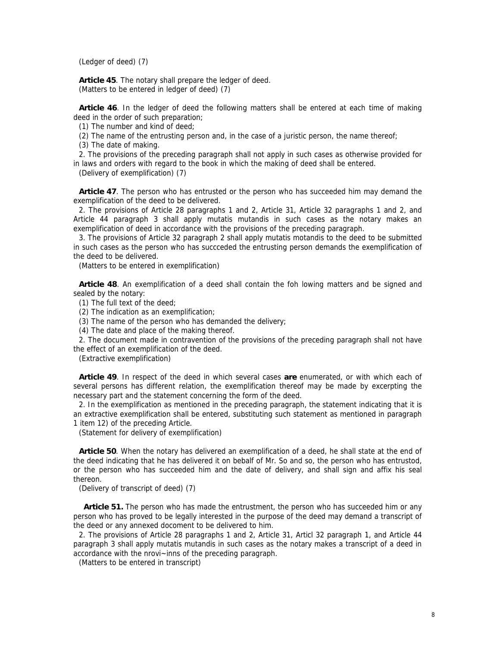(Ledger of deed) (7)

**Article 45**. The notary shall prepare the ledger of deed. (Matters to be entered in ledger of deed) (7)

**Article 46**. In the ledger of deed the following matters shall be entered at each time of making deed in the order of such preparation;

(1) The number and kind of deed;

(2) The name of the entrusting person and, in the case of a juristic person, the name thereof;

(3) The date of making.

2. The provisions of the preceding paragraph shall not apply in such cases as otherwise provided for in laws and orders with regard to the book in which the making of deed shall be entered.

(Delivery of exemplification) (7)

**Article 47**. The person who has entrusted or the person who has succeeded him may demand the exemplification of the deed to be delivered.

2. The provisions of Article 28 paragraphs 1 and 2, Article 31, Article 32 paragraphs 1 and 2, and Article 44 paragraph 3 shall apply mutatis mutandis in such cases as the notary makes an exemplification of deed in accordance with the provisions of the preceding paragraph.

3. The provisions of Article 32 paragraph 2 shall apply mutatis motandis to the deed to be submitted in such cases as the person who has succceded the entrusting person demands the exemplification of the deed to be delivered.

(Matters to be entered in exemplification)

**Article 48**. An exemplification of a deed shall contain the foh lowing matters and be signed and sealed by the notary:

(1) The full text of the deed;

(2) The indication as an exemplification;

(3) The name of the person who has demanded the delivery;

(4) The date and place of the making thereof.

2. The document made in contravention of the provisions of the preceding paragraph shall not have the effect of an exemplification of the deed.

(Extractive exemplification)

**Article 49**. In respect of the deed in which several cases **are** enumerated, or with which each of several persons has different relation, the exemplification thereof may be made by excerpting the necessary part and the statement concerning the form of the deed.

2. In the exemplification as mentioned in the preceding paragraph, the statement indicating that it is an extractive exemplification shall be entered, substituting such statement as mentioned in paragraph 1 item 12) of the preceding Article.

(Statement for delivery of exemplification)

**Article 50**. When the notary has delivered an exemplification of a deed, he shall state at the end of the deed indicating that he has delivered it on bebalf of Mr. So and so, the person who has entrustod, or the person who has succeeded him and the date of delivery, and shall sign and affix his seal thereon.

(Delivery of transcript of deed) (7)

 **Article 51.** The person who has made the entrustment, the person who has succeeded him or any person who has proved to be legally interested in the purpose of the deed may demand a transcript of the deed or any annexed docoment to be delivered to him.

2. The provisions of Article 28 paragraphs 1 and 2, Article 31, Articl 32 paragraph 1, and Article 44 paragraph 3 shall apply mutatis mutandis in such cases as the notary makes a transcript of a deed in accordance with the nrovi~inns of the preceding paragraph.

(Matters to be entered in transcript)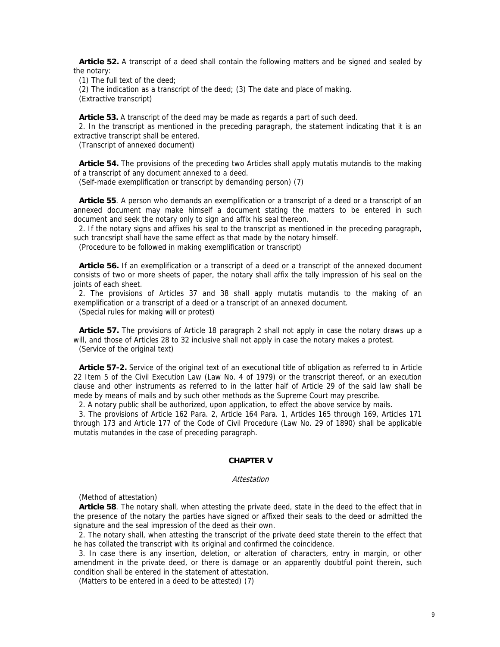**Article 52.** A transcript of a deed shall contain the following matters and be signed and sealed by the notary:

(1) The full text of the deed;

(2) The indication as a transcript of the deed; (3) The date and place of making.

(Extractive transcript)

**Article 53.** A transcript of the deed may be made as regards a part of such deed.

2. In the transcript as mentioned in the preceding paragraph, the statement indicating that it is an extractive transcript shall be entered.

(Transcript of annexed document)

**Article 54.** The provisions of the preceding two Articles shall apply mutatis mutandis to the making of a transcript of any document annexed to a deed.

(Self-made exemplification or transcript by demanding person) (7)

**Article 55**. A person who demands an exemplification or a transcript of a deed or a transcript of an annexed document may make himself a document stating the matters to be entered in such document and seek the notary only to sign and affix his seal thereon.

2. If the notary signs and affixes his seal to the transcript as mentioned in the preceding paragraph, such trancsript shall have the same effect as that made by the notary himself.

(Procedure to be followed in making exemplification or transcript)

**Article 56.** If an exemplification or a transcript of a deed or a transcript of the annexed document consists of two or more sheets of paper, the notary shall affix the tally impression of his seal on the joints of each sheet.

2. The provisions of Articles 37 and 38 shall apply mutatis mutandis to the making of an exemplification or a transcript of a deed or a transcript of an annexed document.

(Special rules for making will or protest)

**Article 57.** The provisions of Article 18 paragraph 2 shall not apply in case the notary draws up a will, and those of Articles 28 to 32 inclusive shall not apply in case the notary makes a protest. (Service of the original text)

**Article 57-2.** Service of the original text of an executional title of obligation as referred to in Article 22 Item 5 of the Civil Execution Law (Law No. 4 of 1979) or the transcript thereof, or an execution clause and other instruments as referred to in the latter half of Article 29 of the said law shall be mede by means of mails and by such other methods as the Supreme Court may prescribe.

2. A notary public shall be authorized, upon application, to effect the above service by mails.

3. The provisions of Article 162 Para. 2, Article 164 Para. 1, Articles 165 through 169, Articles 171 through 173 and Article 177 of the Code of Civil Procedure (Law No. 29 of 1890) shall be applicable mutatis mutandes in the case of preceding paragraph.

## **CHAPTER V**

#### **Attestation**

(Method of attestation)

**Article 58**. The notary shall, when attesting the private deed, state in the deed to the effect that in the presence of the notary the parties have signed or affixed their seals to the deed or admitted the signature and the seal impression of the deed as their own.

2. The notary shall, when attesting the transcript of the private deed state therein to the effect that he has collated the transcript with its original and confirmed the coincidence.

3. In case there is any insertion, deletion, or alteration of characters, entry in margin, or other amendment in the private deed, or there is damage or an apparently doubtful point therein, such condition shall be entered in the statement of attestation.

(Matters to be entered in a deed to be attested) (7)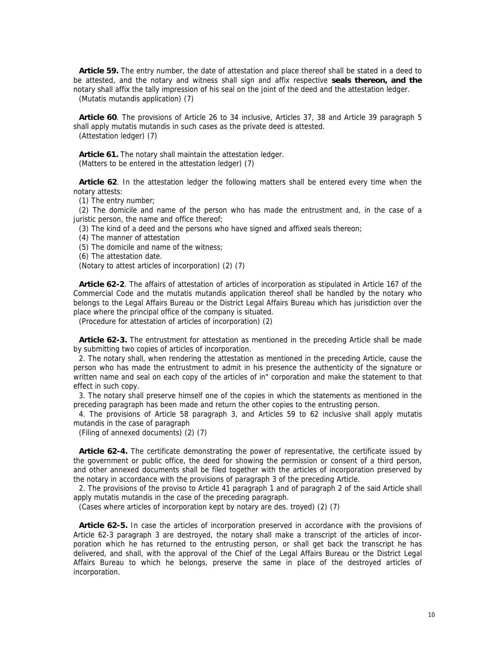**Article 59.** The entry number, the date of attestation and place thereof shall be stated in a deed to be attested, and the notary and witness shall sign and affix respective **seals thereon, and the**  notary shall affix the tally impression of his seal on the joint of the deed and the attestation ledger.

(Mutatis mutandis application) (7)

**Article 60**. The provisions of Article 26 to 34 inclusive, Articles 37, 38 and Article 39 paragraph 5 shall apply mutatis mutandis in such cases as the private deed is attested. (Attestation ledger) (7)

**Article 61.** The notary shall maintain the attestation ledger. (Matters to be entered in the attestation ledger) (7)

**Article 62**. In the attestation ledger the following matters shall be entered every time when the notary attests:

(1) The entry number;

(2) The domicile and name of the person who has made the entrustment and, in the case of a juristic person, the name and office thereof;

(3) The kind of a deed and the persons who have signed and affixed seals thereon;

(4) The manner of attestation

(5) The domicile and name of the witness;

(6) The attestation date.

(Notary to attest articles of incorporation) (2) (7)

**Article 62-2**. The affairs of attestation of articles of incorporation as stipulated in Article 167 of the Commercial Code and the mutatis mutandis application thereof shall be handled by the notary who belongs to the Legal Affairs Bureau or the District Legal Affairs Bureau which has jurisdiction over the place where the principal office of the company is situated.

(Procedure for attestation of articles of incorporation) (2)

**Article 62-3.** The entrustment for attestation as mentioned in the preceding Article shall be made by submitting two copies of articles of incorporation.

2. The notary shall, when rendering the attestation as mentioned in the preceding Article, cause the person who has made the entrustment to admit in his presence the authenticity of the signature or written name and seal on each copy of the articles of in" corporation and make the statement to that effect in such copy.

3. The notary shall preserve himself one of the copies in which the statements as mentioned in the preceding paragraph has been made and return the other copies to the entrusting person.

4. The provisions of Article 58 paragraph 3, and Articles 59 to 62 inclusive shall apply mutatis mutandis in the case of paragraph

(Filing of annexed documents) (2) (7)

**Article 62-4.** The certificate demonstrating the power of representative, the certificate issued by the government or public office, the deed for showing the permission or consent of a third person, and other annexed documents shall be filed together with the articles of incorporation preserved by the notary in accordance with the provisions of paragraph 3 of the preceding Article.

2. The provisions of the proviso to Article 41 paragraph 1 and of paragraph 2 of the said Article shall apply mutatis mutandis in the case of the preceding paragraph.

(Cases where articles of incorporation kept by notary are des. troyed) (2) (7)

**Article 62-5.** In case the articles of incorporation preserved in accordance with the provisions of Article 62-3 paragraph 3 are destroyed, the notary shall make a transcript of the articles of incorporation which he has returned to the entrusting person, or shall get back the transcript he has delivered, and shall, with the approval of the Chief of the Legal Affairs Bureau or the District Legal Affairs Bureau to which he belongs, preserve the same in place of the destroyed articles of incorporation.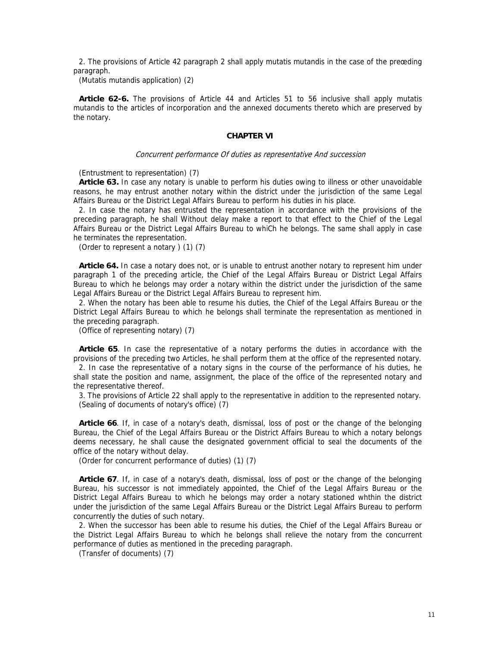2. The provisions of Article 42 paragraph 2 shall apply mutatis mutandis in the case of the preœding paragraph.

(Mutatis mutandis application) (2)

**Article 62-6.** The provisions of Article 44 and Articles 51 to 56 inclusive shall apply mutatis mutandis to the articles of incorporation and the annexed documents thereto which are preserved by the notary.

## **CHAPTER VI**

#### Concurrent performance Of duties as representative And succession

(Entrustment to representation) (7)

**Article 63.** In case any notary is unable to perform his duties owing to illness or other unavoidable reasons, he may entrust another notary within the district under the jurisdiction of the same Legal Affairs Bureau or the District Legal Affairs Bureau to perform his duties in his place.

2. In case the notary has entrusted the representation in accordance with the provisions of the preceding paragraph, he shall Without delay make a report to that effect to the Chief of the Legal Affairs Bureau or the District Legal Affairs Bureau to whiCh he belongs. The same shall apply in case he terminates the representation.

(Order to represent a notary ) (1) (7)

**Article 64.** In case a notary does not, or is unable to entrust another notary to represent him under paragraph 1 of the preceding article, the Chief of the Legal Affairs Bureau or District Legal Affairs Bureau to which he belongs may order a notary within the district under the jurisdiction of the same Legal Affairs Bureau or the District Legal Affairs Bureau to represent him.

2. When the notary has been able to resume his duties, the Chief of the Legal Affairs Bureau or the District Legal Affairs Bureau to which he belongs shall terminate the representation as mentioned in the preceding paragraph.

(Office of representing notary) (7)

**Article 65**. In case the representative of a notary performs the duties in accordance with the provisions of the preceding two Articles, he shall perform them at the office of the represented notary.

2. In case the representative of a notary signs in the course of the performance of his duties, he shall state the position and name, assignment, the place of the office of the represented notary and the representative thereof.

3. The provisions of Article 22 shall apply to the representative in addition to the represented notary. (Sealing of documents of notary's office) (7)

**Article 66**. If, in case of a notary's death, dismissal, loss of post or the change of the belonging Bureau, the Chief of the Legal Affairs Bureau or the District Affairs Bureau to which a notary belongs deems necessary, he shall cause the designated government official to seal the documents of the office of the notary without delay.

(Order for concurrent performance of duties) (1) (7)

**Article 67**. If, in case of a notary's death, dismissal, loss of post or the change of the belonging Bureau, his successor is not immediately appointed, the Chief of the Legal Affairs Bureau or the District Legal Affairs Bureau to which he belongs may order a notary stationed whthin the district under the jurisdiction of the same Legal Affairs Bureau or the District Legal Affairs Bureau to perform concurrently the duties of such notary.

2. When the successor has been able to resume his duties, the Chief of the Legal Affairs Bureau or the District Legal Affairs Bureau to which he belongs shall relieve the notary from the concurrent performance of duties as mentioned in the preceding paragraph.

(Transfer of documents) (7)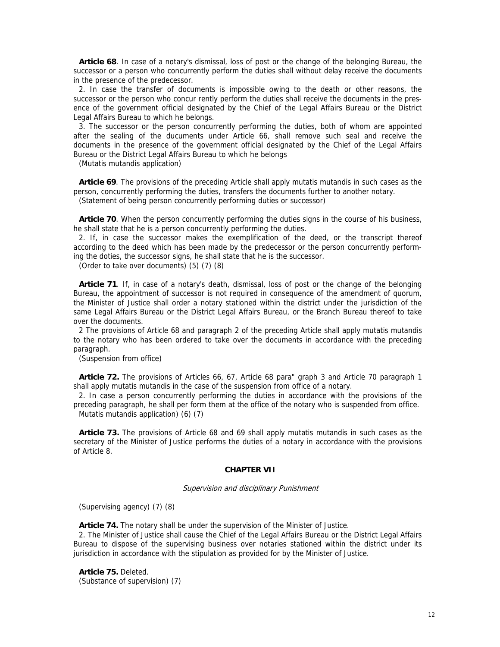**Article 68**. In case of a notary's dismissal, loss of post or the change of the belonging Bureau, the successor or a person who concurrently perform the duties shall without delay receive the documents in the presence of the predecessor.

2. In case the transfer of documents is impossible owing to the death or other reasons, the successor or the person who concur rently perform the duties shall receive the documents in the presence of the government official designated by the Chief of the Legal Affairs Bureau or the District Legal Affairs Bureau to which he belongs.

3. The successor or the person concurrently performing the duties, both of whom are appointed after the sealing of the ducuments under Article 66, shall remove such seal and receive the documents in the presence of the government official designated by the Chief of the Legal Affairs Bureau or the District Legal Affairs Bureau to which he belongs

(Mutatis mutandis application)

**Article 69**. The provisions of the preceding Article shall apply mutatis mutandis in such cases as the person, concurrently performing the duties, transfers the documents further to another notary. (Statement of being person concurrently performing duties or successor)

**Article 70**. When the person concurrently performing the duties signs in the course of his business, he shall state that he is a person concurrently performing the duties.

2. If, in case the successor makes the exemplification of the deed, or the transcript thereof according to the deed which has been made by the predecessor or the person concurrently performing the doties, the successor signs, he shall state that he is the successor.

(Order to take over documents) (5) (7) (8)

**Article 71**. If, in case of a notary's death, dismissal, loss of post or the change of the belonging Bureau, the appointment of successor is not required in consequence of the amendment of quorum, the Minister of Justice shall order a notary stationed within the district under the jurisdiction of the same Legal Affairs Bureau or the District Legal Affairs Bureau, or the Branch Bureau thereof to take over the documents.

2 The provisions of Article 68 and paragraph 2 of the preceding Article shall apply mutatis mutandis to the notary who has been ordered to take over the documents in accordance with the preceding paragraph.

(Suspension from office)

**Article 72.** The provisions of Articles 66, 67, Article 68 para" graph 3 and Article 70 paragraph 1 shall apply mutatis mutandis in the case of the suspension from office of a notary.

2. In case a person concurrently performing the duties in accordance with the provisions of the preceding paragraph, he shall per form them at the office of the notary who is suspended from office. Mutatis mutandis application) (6) (7)

**Article 73.** The provisions of Article 68 and 69 shall apply mutatis mutandis in such cases as the secretary of the Minister of Justice performs the duties of a notary in accordance with the provisions of Article 8.

#### **CHAPTER VII**

Supervision and disciplinary Punishment

(Supervising agency) (7) (8)

**Article 74.** The notary shall be under the supervision of the Minister of Justice.

2. The Minister of Justice shall cause the Chief of the Legal Affairs Bureau or the District Legal Affairs Bureau to dispose of the supervising business over notaries stationed within the district under its jurisdiction in accordance with the stipulation as provided for by the Minister of Justice.

**Article 75.** Deleted. (Substance of supervision) (7)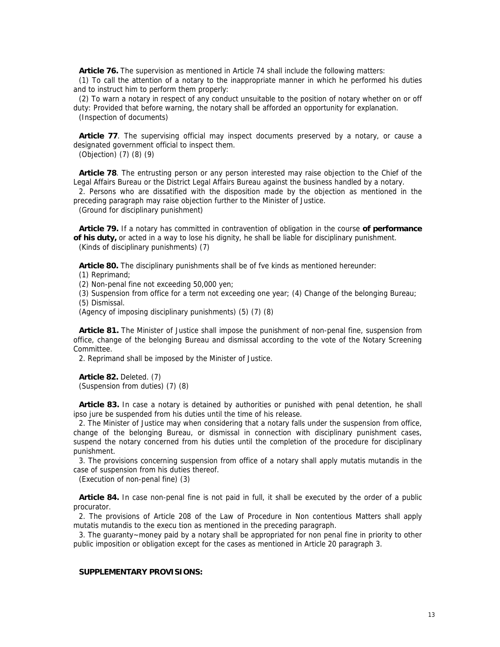**Article 76.** The supervision as mentioned in Article 74 shall include the following matters:

(1) To call the attention of a notary to the inappropriate manner in which he performed his duties and to instruct him to perform them properly:

(2) To warn a notary in respect of any conduct unsuitable to the position of notary whether on or off duty: Provided that before warning, the notary shall be afforded an opportunity for explanation. (Inspection of documents)

**Article 77**. The supervising official may inspect documents preserved by a notary, or cause a designated government official to inspect them.

(Objection) (7) (8) (9)

**Article 78**. The entrusting person or any person interested may raise objection to the Chief of the Legal Affairs Bureau or the District Legal Affairs Bureau against the business handled by a notary. 2. Persons who are dissatified with the disposition made by the objection as mentioned in the

preceding paragraph may raise objection further to the Minister of Justice.

(Ground for disciplinary punishment)

**Article 79.** If a notary has committed in contravention of obligation in the course **of performance of his duty,** or acted in a way to lose his dignity, he shall be liable for disciplinary punishment. (Kinds of disciplinary punishments) (7)

**Article 80.** The disciplinary punishments shall be of fve kinds as mentioned hereunder:

(1) Reprimand;

(2) Non-penal fine not exceeding 50,000 yen;

(3) Suspension from office for a term not exceeding one year; (4) Change of the belonging Bureau;

(5) Dismissal.

(Agency of imposing disciplinary punishments) (5) (7) (8)

**Article 81.** The Minister of Justice shall impose the punishment of non-penal fine, suspension from office, change of the belonging Bureau and dismissal according to the vote of the Notary Screening Committee.

2. Reprimand shall be imposed by the Minister of Justice.

**Article 82.** Deleted. (7) (Suspension from duties) (7) (8)

**Article 83.** In case a notary is detained by authorities or punished with penal detention, he shall ipso jure be suspended from his duties until the time of his release.

2. The Minister of Justice may when considering that a notary falls under the suspension from office, change of the belonging Bureau, or dismissal in connection with disciplinary punishment cases, suspend the notary concerned from his duties until the completion of the procedure for disciplinary punishment.

3. The provisions concerning suspension from office of a notary shall apply mutatis mutandis in the case of suspension from his duties thereof.

(Execution of non-penal fine) (3)

**Article 84.** In case non-penal fine is not paid in full, it shall be executed by the order of a public procurator.

2. The provisions of Article 208 of the Law of Procedure in Non contentious Matters shall apply mutatis mutandis to the execu tion as mentioned in the preceding paragraph.

3. The guaranty~money paid by a notary shall be appropriated for non penal fine in priority to other public imposition or obligation except for the cases as mentioned in Article 20 paragraph 3.

## **SUPPLEMENTARY PROVISIONS:**